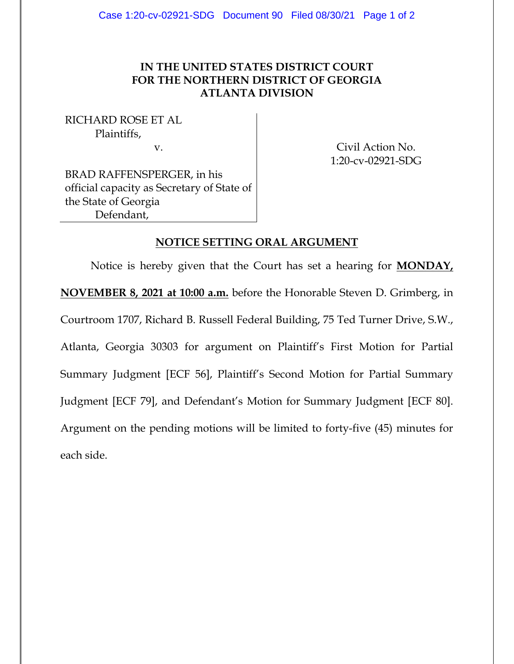## **IN THE UNITED STATES DISTRICT COURT FOR THE NORTHERN DISTRICT OF GEORGIA ATLANTA DIVISION**

RICHARD ROSE ET AL Plaintiffs,

v. Civil Action No. 1:20-cv-02921-SDG

BRAD RAFFENSPERGER, in his official capacity as Secretary of State of the State of Georgia Defendant,

## **NOTICE SETTING ORAL ARGUMENT**

Notice is hereby given that the Court has set a hearing for **MONDAY, NOVEMBER 8, 2021 at 10:00 a.m.** before the Honorable Steven D. Grimberg, in Courtroom 1707, Richard B. Russell Federal Building, 75 Ted Turner Drive, S.W., Atlanta, Georgia 30303 for argument on Plaintiff's First Motion for Partial Summary Judgment [ECF 56], Plaintiff's Second Motion for Partial Summary Judgment [ECF 79], and Defendant's Motion for Summary Judgment [ECF 80]. Argument on the pending motions will be limited to forty-five (45) minutes for each side.